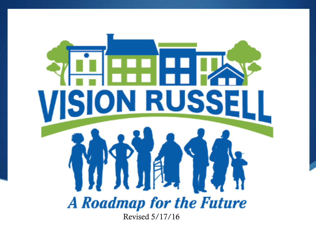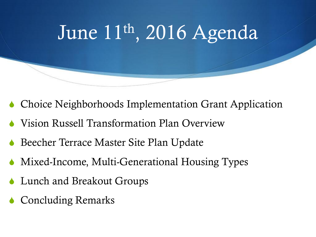

- Choice Neighborhoods Implementation Grant Application
- Vision Russell Transformation Plan Overview
- Beecher Terrace Master Site Plan Update
- Mixed-Income, Multi-Generational Housing Types
- Lunch and Breakout Groups
- **Concluding Remarks**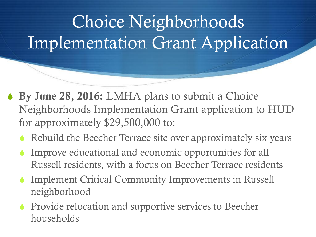## Choice Neighborhoods Implementation Grant Application

- **↓ By June 28, 2016:** LMHA plans to submit a Choice Neighborhoods Implementation Grant application to HUD for approximately \$29,500,000 to:
	- Rebuild the Beecher Terrace site over approximately six years
	- Improve educational and economic opportunities for all Russell residents, with a focus on Beecher Terrace residents
	- $\bullet$  Implement Critical Community Improvements in Russell neighborhood
	- **S** Provide relocation and supportive services to Beecher households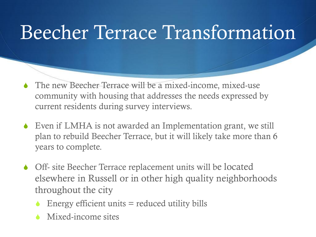### Beecher Terrace Transformation

- The new Beecher Terrace will be a mixed-income, mixed-use community with housing that addresses the needs expressed by current residents during survey interviews.
- Even if LMHA is not awarded an Implementation grant, we still plan to rebuild Beecher Terrace, but it will likely take more than 6 years to complete.
- Off- site Beecher Terrace replacement units will be located elsewhere in Russell or in other high quality neighborhoods throughout the city
	- Energy efficient units  $=$  reduced utility bills
	- Mixed-income sites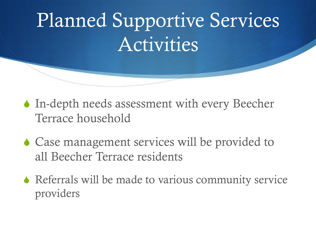## Planned Supportive Services Activities

- $\blacklozenge$  In-depth needs assessment with every Beecher Terrace household
- $\triangle$  Case management services will be provided to all Beecher Terrace residents
- $\blacklozenge$  Referrals will be made to various community service providers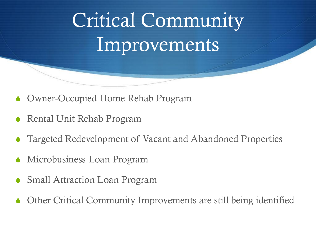# Critical Community Improvements

- Owner-Occupied Home Rehab Program
- Rental Unit Rehab Program
- Targeted Redevelopment of Vacant and Abandoned Properties
- Microbusiness Loan Program
- **Small Attraction Loan Program**
- Other Critical Community Improvements are still being identified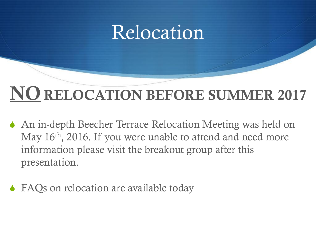#### Relocation

#### **NO RELOCATION BEFORE SUMMER 2017**

- An in-depth Beecher Terrace Relocation Meeting was held on May 16<sup>th</sup>, 2016. If you were unable to attend and need more information please visit the breakout group after this presentation.
- FAQs on relocation are available today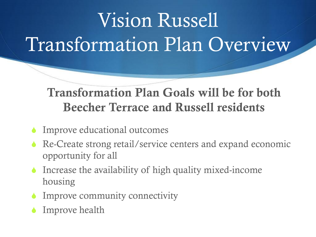# Vision Russell Transformation Plan Overview

#### **Transformation Plan Goals will be for both Beecher Terrace and Russell residents**

- $\blacklozenge$  Improve educational outcomes
- $\triangle$  Re-Create strong retail/service centers and expand economic opportunity for all
- $\bullet$  Increase the availability of high quality mixed-income housing
- $\bullet$  Improve community connectivity
- Improve health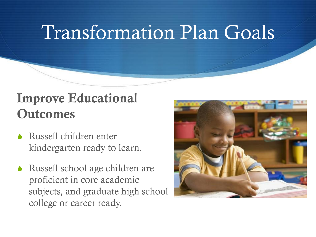#### **Improve Educational Outcomes**

- Russell children enter kindergarten ready to learn.
- Russell school age children are proficient in core academic subjects, and graduate high school college or career ready.

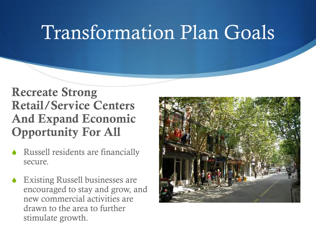#### **Recreate Strong Retail/Service Centers And Expand Economic Opportunity For All**

- Russell residents are financially secure.
- $\triangle$  Existing Russell businesses are encouraged to stay and grow, and new commercial activities are drawn to the area to further stimulate growth.

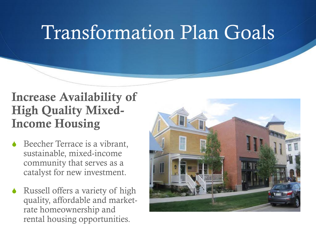#### **Increase Availability of High Quality Mixed-Income Housing**

- $\triangle$  Beecher Terrace is a vibrant, sustainable, mixed-income community that serves as a catalyst for new investment.
- $\bullet$  Russell offers a variety of high quality, affordable and marketrate homeownership and rental housing opportunities.

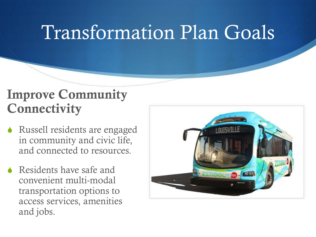#### **Improve Community Connectivity**

- Russell residents are engaged in community and civic life, and connected to resources.
- $\triangle$  Residents have safe and convenient multi-modal transportation options to access services, amenities and jobs.

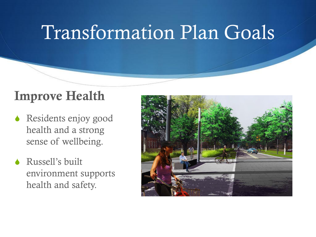#### **Improve Health**

- **Kesidents enjoy good** health and a strong sense of wellbeing.
- Russell's built environment supports health and safety.

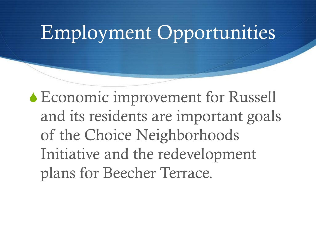#### Employment Opportunities

 $\triangle$  Economic improvement for Russell and its residents are important goals of the Choice Neighborhoods Initiative and the redevelopment plans for Beecher Terrace.